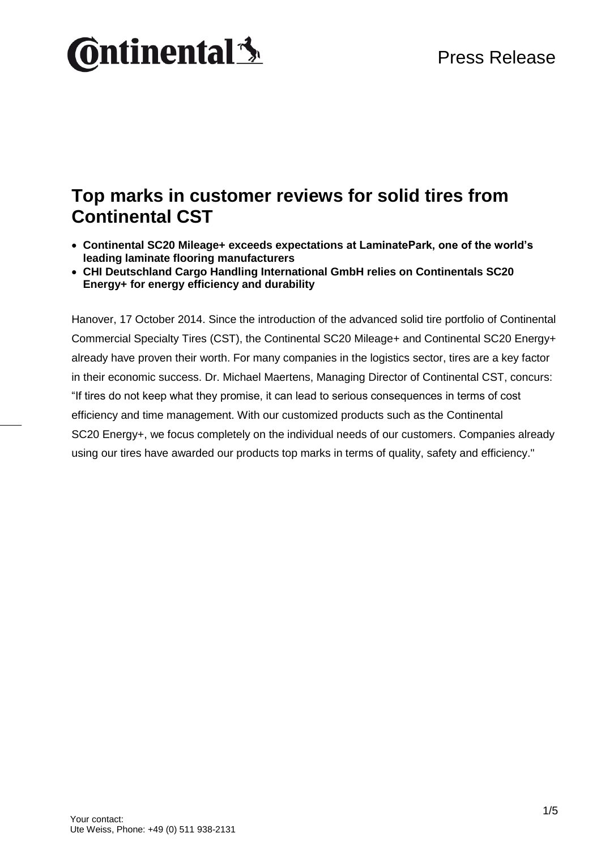# **Ontinental 3**

### **Top marks in customer reviews for solid tires from Continental CST**

- **Continental SC20 Mileage+ exceeds expectations at LaminatePark, one of the world's leading laminate flooring manufacturers**
- **CHI Deutschland Cargo Handling International GmbH relies on Continentals SC20 Energy+ for energy efficiency and durability**

Hanover, 17 October 2014. Since the introduction of the advanced solid tire portfolio of Continental Commercial Specialty Tires (CST), the Continental SC20 Mileage+ and Continental SC20 Energy+ already have proven their worth. For many companies in the logistics sector, tires are a key factor in their economic success. Dr. Michael Maertens, Managing Director of Continental CST, concurs: "If tires do not keep what they promise, it can lead to serious consequences in terms of cost efficiency and time management. With our customized products such as the Continental SC20 Energy+, we focus completely on the individual needs of our customers. Companies already using our tires have awarded our products top marks in terms of quality, safety and efficiency."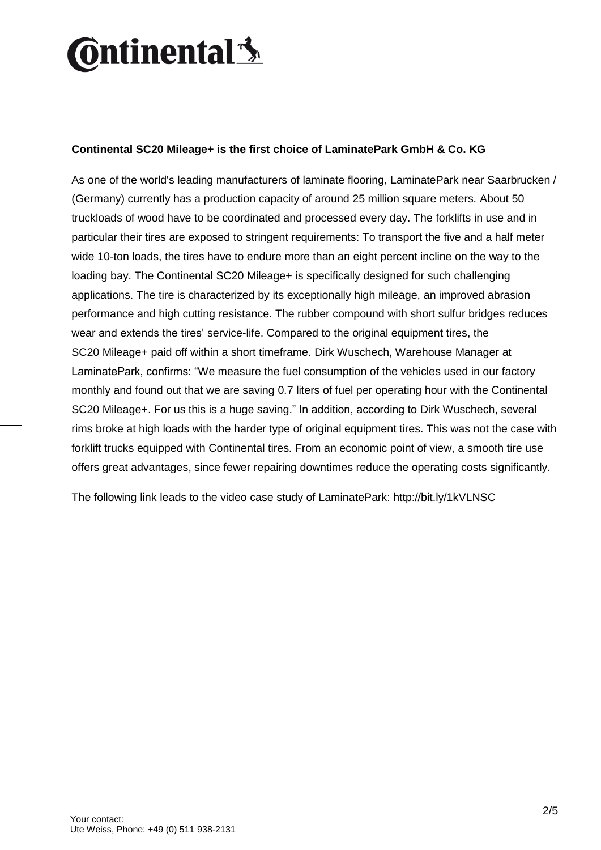# **Ontinental 3**

#### **Continental SC20 Mileage+ is the first choice of LaminatePark GmbH & Co. KG**

As one of the world's leading manufacturers of laminate flooring, LaminatePark near Saarbrucken / (Germany) currently has a production capacity of around 25 million square meters. About 50 truckloads of wood have to be coordinated and processed every day. The forklifts in use and in particular their tires are exposed to stringent requirements: To transport the five and a half meter wide 10-ton loads, the tires have to endure more than an eight percent incline on the way to the loading bay. The Continental SC20 Mileage+ is specifically designed for such challenging applications. The tire is characterized by its exceptionally high mileage, an improved abrasion performance and high cutting resistance. The rubber compound with short sulfur bridges reduces wear and extends the tires' service-life. Compared to the original equipment tires, the SC20 Mileage+ paid off within a short timeframe. Dirk Wuschech, Warehouse Manager at LaminatePark, confirms: "We measure the fuel consumption of the vehicles used in our factory monthly and found out that we are saving 0.7 liters of fuel per operating hour with the Continental SC20 Mileage+. For us this is a huge saving." In addition, according to Dirk Wuschech, several rims broke at high loads with the harder type of original equipment tires. This was not the case with forklift trucks equipped with Continental tires. From an economic point of view, a smooth tire use offers great advantages, since fewer repairing downtimes reduce the operating costs significantly.

The following link leads to the video case study of LaminatePark:<http://bit.ly/1kVLNSC>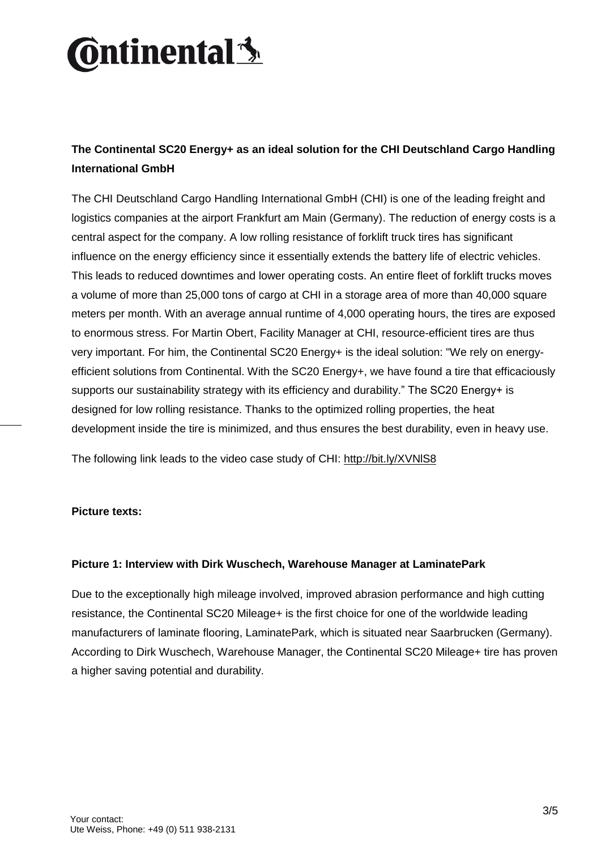# **Ontinental3**

### **The Continental SC20 Energy+ as an ideal solution for the CHI Deutschland Cargo Handling International GmbH**

The CHI Deutschland Cargo Handling International GmbH (CHI) is one of the leading freight and logistics companies at the airport Frankfurt am Main (Germany). The reduction of energy costs is a central aspect for the company. A low rolling resistance of forklift truck tires has significant influence on the energy efficiency since it essentially extends the battery life of electric vehicles. This leads to reduced downtimes and lower operating costs. An entire fleet of forklift trucks moves a volume of more than 25,000 tons of cargo at CHI in a storage area of more than 40,000 square meters per month. With an average annual runtime of 4,000 operating hours, the tires are exposed to enormous stress. For Martin Obert, Facility Manager at CHI, resource-efficient tires are thus very important. For him, the Continental SC20 Energy+ is the ideal solution: "We rely on energyefficient solutions from Continental. With the SC20 Energy+, we have found a tire that efficaciously supports our sustainability strategy with its efficiency and durability." The SC20 Energy+ is designed for low rolling resistance. Thanks to the optimized rolling properties, the heat development inside the tire is minimized, and thus ensures the best durability, even in heavy use.

The following link leads to the video case study of CHI:<http://bit.ly/XVNlS8>

#### **Picture texts:**

#### **Picture 1: Interview with Dirk Wuschech, Warehouse Manager at LaminatePark**

Due to the exceptionally high mileage involved, improved abrasion performance and high cutting resistance, the Continental SC20 Mileage+ is the first choice for one of the worldwide leading manufacturers of laminate flooring, LaminatePark, which is situated near Saarbrucken (Germany). According to Dirk Wuschech, Warehouse Manager, the Continental SC20 Mileage+ tire has proven a higher saving potential and durability.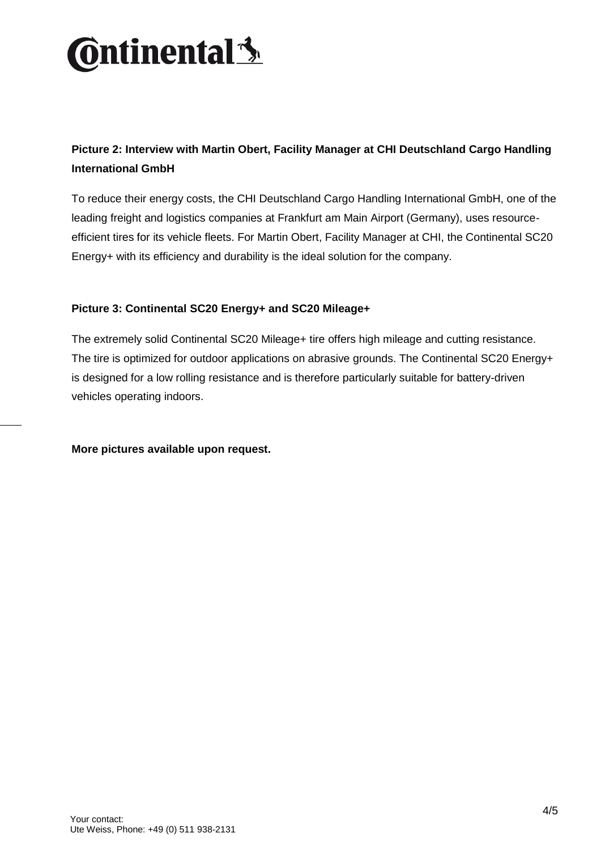

### **Picture 2: Interview with Martin Obert, Facility Manager at CHI Deutschland Cargo Handling International GmbH**

To reduce their energy costs, the CHI Deutschland Cargo Handling International GmbH, one of the leading freight and logistics companies at Frankfurt am Main Airport (Germany), uses resourceefficient tires for its vehicle fleets. For Martin Obert, Facility Manager at CHI, the Continental SC20 Energy+ with its efficiency and durability is the ideal solution for the company.

#### **Picture 3: Continental SC20 Energy+ and SC20 Mileage+**

The extremely solid Continental SC20 Mileage+ tire offers high mileage and cutting resistance. The tire is optimized for outdoor applications on abrasive grounds. The Continental SC20 Energy+ is designed for a low rolling resistance and is therefore particularly suitable for battery-driven vehicles operating indoors.

**More pictures available upon request.**